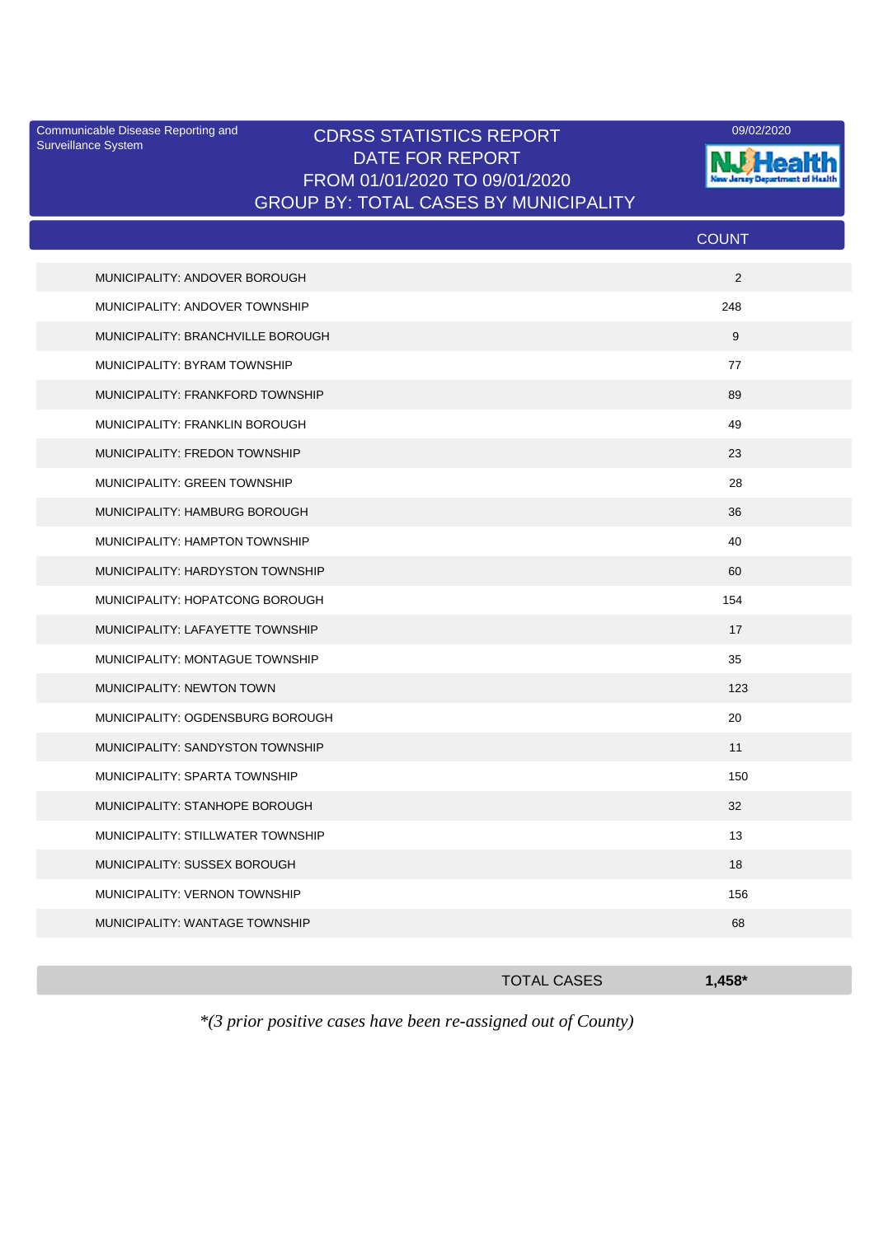Surveillance System

## Communicable Disease Reporting and CDRSS STATISTICS REPORT 09/02/2020<br>Surveillance System CDRSS STATISTICS REPORT DATE FOR REPORT FROM 01/01/2020 TO 09/01/2020 GROUP BY: TOTAL CASES BY MUNICIPALITY



|                                   | <b>COUNT</b> |
|-----------------------------------|--------------|
| MUNICIPALITY: ANDOVER BOROUGH     | 2            |
| MUNICIPALITY: ANDOVER TOWNSHIP    | 248          |
| MUNICIPALITY: BRANCHVILLE BOROUGH | 9            |
| MUNICIPALITY: BYRAM TOWNSHIP      | 77           |
| MUNICIPALITY: FRANKFORD TOWNSHIP  | 89           |
| MUNICIPALITY: FRANKLIN BOROUGH    | 49           |
| MUNICIPALITY: FREDON TOWNSHIP     | 23           |
| MUNICIPALITY: GREEN TOWNSHIP      | 28           |
| MUNICIPALITY: HAMBURG BOROUGH     | 36           |
| MUNICIPALITY: HAMPTON TOWNSHIP    | 40           |
| MUNICIPALITY: HARDYSTON TOWNSHIP  | 60           |
| MUNICIPALITY: HOPATCONG BOROUGH   | 154          |
| MUNICIPALITY: LAFAYETTE TOWNSHIP  | 17           |
| MUNICIPALITY: MONTAGUE TOWNSHIP   | 35           |
| MUNICIPALITY: NEWTON TOWN         | 123          |
| MUNICIPALITY: OGDENSBURG BOROUGH  | 20           |
| MUNICIPALITY: SANDYSTON TOWNSHIP  | 11           |
| MUNICIPALITY: SPARTA TOWNSHIP     | 150          |
| MUNICIPALITY: STANHOPE BOROUGH    | 32           |
| MUNICIPALITY: STILLWATER TOWNSHIP | 13           |
| MUNICIPALITY: SUSSEX BOROUGH      | 18           |
| MUNICIPALITY: VERNON TOWNSHIP     | 156          |
| MUNICIPALITY: WANTAGE TOWNSHIP    | 68           |
|                                   |              |

|                        |                   |  | <b>TOTAL CASES</b>        |  | $1,458*$ |  |
|------------------------|-------------------|--|---------------------------|--|----------|--|
| $\cdot$ $\cdot$ $\sim$ | $\cdot$ . $\cdot$ |  | $\mathbf{1}$ $\mathbf{1}$ |  |          |  |

*\*(3 prior positive cases have been re-assigned out of County)*